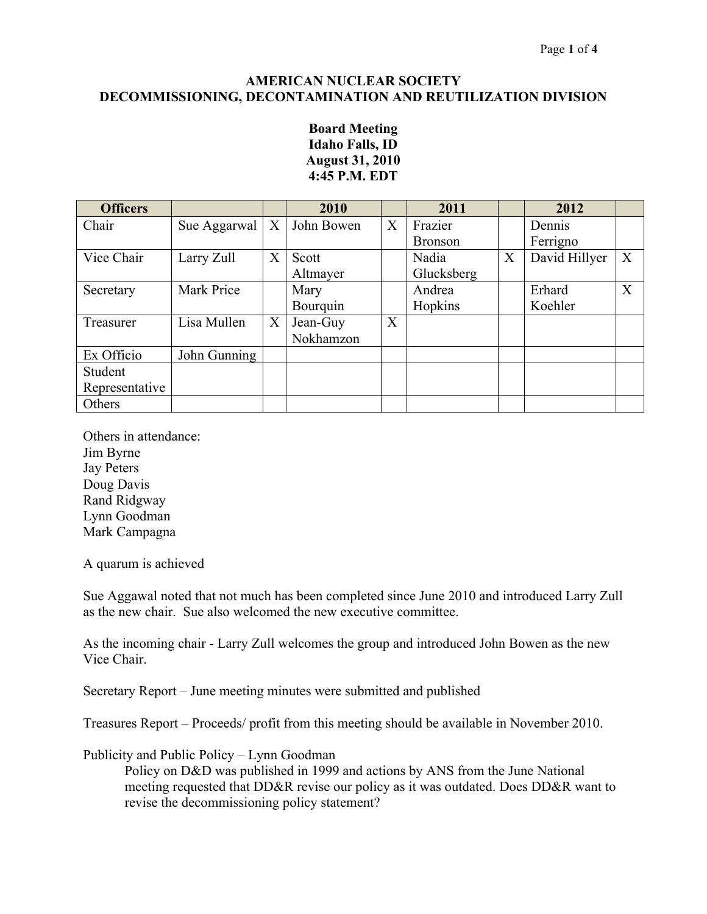#### **AMERICAN NUCLEAR SOCIETY DECOMMISSIONING, DECONTAMINATION AND REUTILIZATION DIVISION**

## **Board Meeting Idaho Falls, ID August 31, 2010 4:45 P.M. EDT**

| <b>Officers</b> |              |   | 2010       |   | 2011           |   | 2012          |              |
|-----------------|--------------|---|------------|---|----------------|---|---------------|--------------|
| Chair           | Sue Aggarwal | X | John Bowen | X | Frazier        |   | Dennis        |              |
|                 |              |   |            |   | <b>Bronson</b> |   | Ferrigno      |              |
| Vice Chair      | Larry Zull   | X | Scott      |   | Nadia          | X | David Hillyer | X            |
|                 |              |   | Altmayer   |   | Glucksberg     |   |               |              |
| Secretary       | Mark Price   |   | Mary       |   | Andrea         |   | Erhard        | $\mathbf{X}$ |
|                 |              |   | Bourquin   |   | Hopkins        |   | Koehler       |              |
| Treasurer       | Lisa Mullen  | X | Jean-Guy   | X |                |   |               |              |
|                 |              |   | Nokhamzon  |   |                |   |               |              |
| Ex Officio      | John Gunning |   |            |   |                |   |               |              |
| Student         |              |   |            |   |                |   |               |              |
| Representative  |              |   |            |   |                |   |               |              |
| Others          |              |   |            |   |                |   |               |              |

Others in attendance: Jim Byrne Jay Peters Doug Davis Rand Ridgway Lynn Goodman Mark Campagna

A quarum is achieved

Sue Aggawal noted that not much has been completed since June 2010 and introduced Larry Zull as the new chair. Sue also welcomed the new executive committee.

As the incoming chair - Larry Zull welcomes the group and introduced John Bowen as the new Vice Chair.

Secretary Report – June meeting minutes were submitted and published

Treasures Report – Proceeds/ profit from this meeting should be available in November 2010.

### Publicity and Public Policy – Lynn Goodman

Policy on D&D was published in 1999 and actions by ANS from the June National meeting requested that DD&R revise our policy as it was outdated. Does DD&R want to revise the decommissioning policy statement?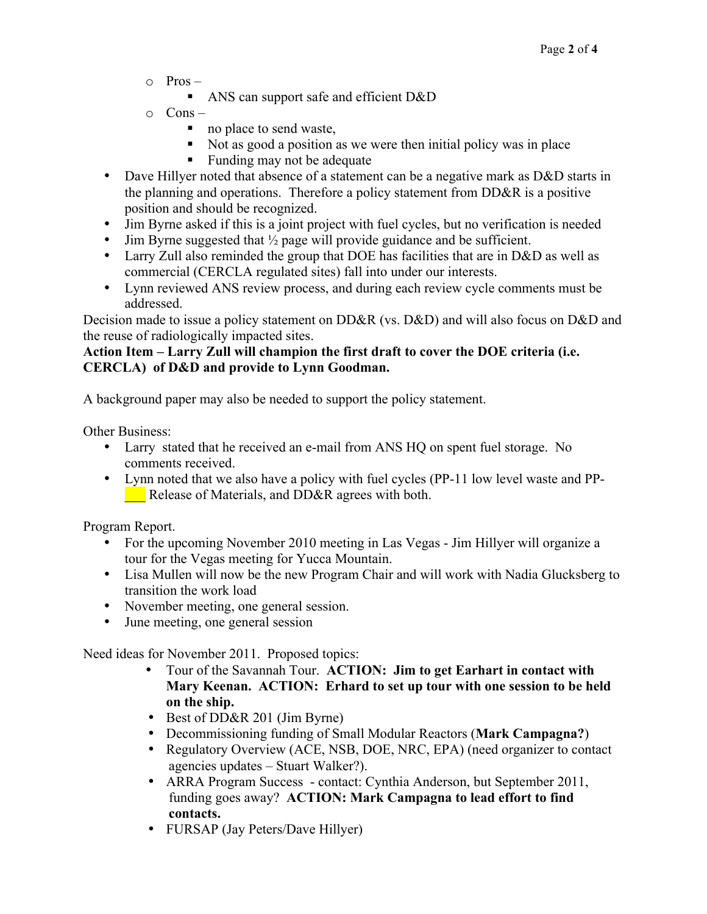- $\circ$  Pros
	- ANS can support safe and efficient D&D
- $\circ$  Cons
	- no place to send waste,
	- Not as good a position as we were then initial policy was in place
	- Funding may not be adequate
- Dave Hillyer noted that absence of a statement can be a negative mark as D&D starts in the planning and operations. Therefore a policy statement from DD&R is a positive position and should be recognized.
- Jim Byrne asked if this is a joint project with fuel cycles, but no verification is needed
- Jim Byrne suggested that  $\frac{1}{2}$  page will provide guidance and be sufficient.
- Larry Zull also reminded the group that DOE has facilities that are in D&D as well as commercial (CERCLA regulated sites) fall into under our interests.
- Lynn reviewed ANS review process, and during each review cycle comments must be addressed.

Decision made to issue a policy statement on DD&R (vs. D&D) and will also focus on D&D and the reuse of radiologically impacted sites.

# **Action Item – Larry Zull will champion the first draft to cover the DOE criteria (i.e. CERCLA) of D&D and provide to Lynn Goodman.**

A background paper may also be needed to support the policy statement.

Other Business:

- Larry stated that he received an e-mail from ANS HQ on spent fuel storage. No comments received.
- Lynn noted that we also have a policy with fuel cycles (PP-11 low level waste and PP- **EXECUTE:** Release of Materials, and DD&R agrees with both.

Program Report.

- For the upcoming November 2010 meeting in Las Vegas Jim Hillyer will organize a tour for the Vegas meeting for Yucca Mountain.
- Lisa Mullen will now be the new Program Chair and will work with Nadia Glucksberg to transition the work load
- November meeting, one general session.
- June meeting, one general session

Need ideas for November 2011. Proposed topics:

- Tour of the Savannah Tour. **ACTION: Jim to get Earhart in contact with Mary Keenan. ACTION: Erhard to set up tour with one session to be held on the ship.**
- Best of DD&R 201 (Jim Byrne)
- Decommissioning funding of Small Modular Reactors (**Mark Campagna?**)
- Regulatory Overview (ACE, NSB, DOE, NRC, EPA) (need organizer to contact agencies updates – Stuart Walker?).
- ARRA Program Success contact: Cynthia Anderson, but September 2011, funding goes away? **ACTION: Mark Campagna to lead effort to find contacts.**
- FURSAP (Jay Peters/Dave Hillyer)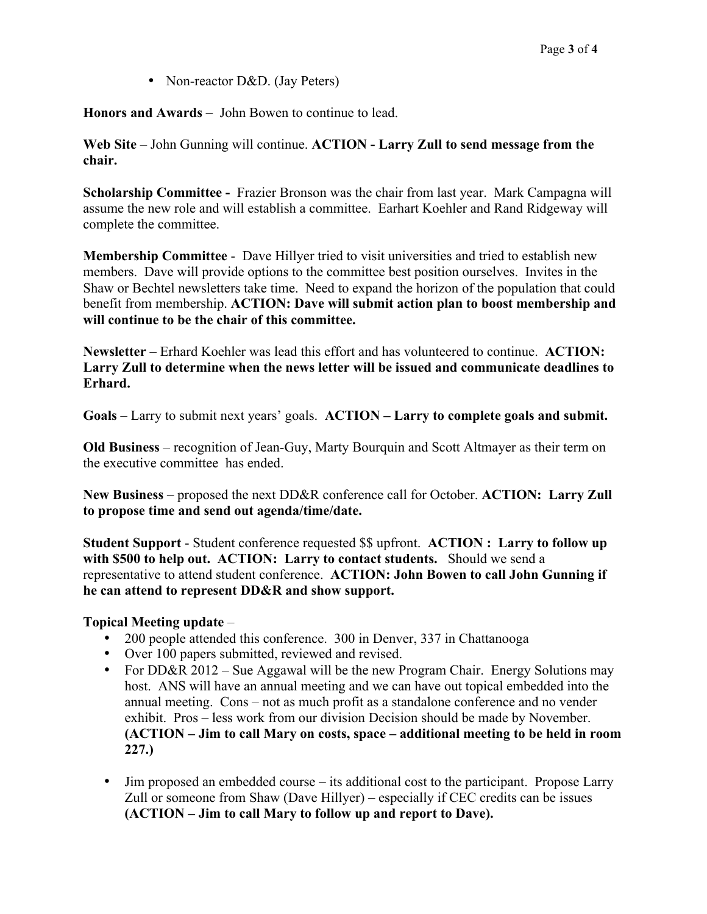• Non-reactor D&D. (Jay Peters)

**Honors and Awards** – John Bowen to continue to lead.

**Web Site** – John Gunning will continue. **ACTION - Larry Zull to send message from the chair.**

**Scholarship Committee -** Frazier Bronson was the chair from last year. Mark Campagna will assume the new role and will establish a committee. Earhart Koehler and Rand Ridgeway will complete the committee.

**Membership Committee** - Dave Hillyer tried to visit universities and tried to establish new members. Dave will provide options to the committee best position ourselves. Invites in the Shaw or Bechtel newsletters take time. Need to expand the horizon of the population that could benefit from membership. **ACTION: Dave will submit action plan to boost membership and will continue to be the chair of this committee.** 

**Newsletter** – Erhard Koehler was lead this effort and has volunteered to continue. **ACTION: Larry Zull to determine when the news letter will be issued and communicate deadlines to Erhard.**

**Goals** – Larry to submit next years' goals. **ACTION – Larry to complete goals and submit.**

**Old Business** – recognition of Jean-Guy, Marty Bourquin and Scott Altmayer as their term on the executive committee has ended.

**New Business** – proposed the next DD&R conference call for October. **ACTION: Larry Zull to propose time and send out agenda/time/date.**

**Student Support** - Student conference requested \$\$ upfront. **ACTION : Larry to follow up with \$500 to help out. ACTION: Larry to contact students.** Should we send a representative to attend student conference. **ACTION: John Bowen to call John Gunning if he can attend to represent DD&R and show support.**

### **Topical Meeting update** –

- 200 people attended this conference. 300 in Denver, 337 in Chattanooga
- Over 100 papers submitted, reviewed and revised.
- For DD&R 2012 Sue Aggawal will be the new Program Chair. Energy Solutions may host. ANS will have an annual meeting and we can have out topical embedded into the annual meeting. Cons – not as much profit as a standalone conference and no vender exhibit. Pros – less work from our division Decision should be made by November. **(ACTION – Jim to call Mary on costs, space – additional meeting to be held in room 227.)**
- Jim proposed an embedded course its additional cost to the participant. Propose Larry Zull or someone from Shaw (Dave Hillyer) – especially if CEC credits can be issues **(ACTION – Jim to call Mary to follow up and report to Dave).**